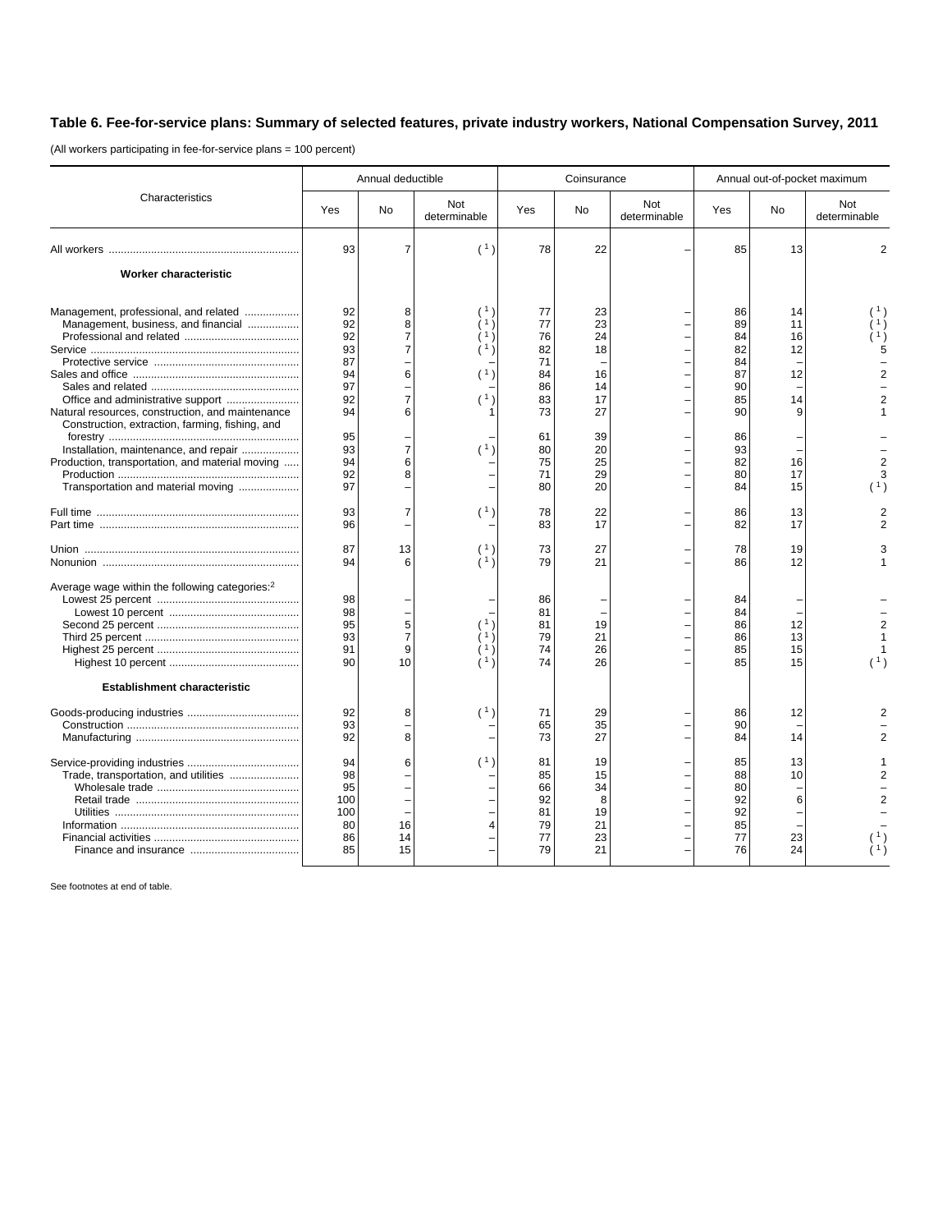## **Table 6. Fee-for-service plans: Summary of selected features, private industry workers, National Compensation Survey, 2011**

(All workers participating in fee-for-service plans = 100 percent)

|                                                                                                                                                                                   | Annual deductible                              |                                    |                     | Coinsurance                                  |                                             |                     | Annual out-of-pocket maximum                 |                            |                                             |
|-----------------------------------------------------------------------------------------------------------------------------------------------------------------------------------|------------------------------------------------|------------------------------------|---------------------|----------------------------------------------|---------------------------------------------|---------------------|----------------------------------------------|----------------------------|---------------------------------------------|
| Characteristics                                                                                                                                                                   | Yes                                            | <b>No</b>                          | Not<br>determinable | Yes                                          | No                                          | Not<br>determinable | Yes                                          | No                         | Not<br>determinable                         |
|                                                                                                                                                                                   | 93                                             | $\overline{7}$                     | (1)                 | 78                                           | 22                                          |                     | 85                                           | 13                         | $\overline{2}$                              |
| Worker characteristic                                                                                                                                                             |                                                |                                    |                     |                                              |                                             |                     |                                              |                            |                                             |
| Management, professional, and related<br>Management, business, and financial                                                                                                      | 92<br>92<br>92<br>93<br>87<br>94<br>97         | 8<br>8<br>$\overline{7}$<br>7<br>6 |                     | 77<br>77<br>76<br>82<br>71<br>84             | 23<br>23<br>24<br>18<br>16                  |                     | 86<br>89<br>84<br>82<br>84<br>87             | 14<br>11<br>16<br>12<br>12 | $\begin{pmatrix} 1 \\ 1 \end{pmatrix}$<br>5 |
| Natural resources, construction, and maintenance                                                                                                                                  | 92<br>94                                       | $\overline{7}$<br>6                |                     | 86<br>83<br>73                               | 14<br>17<br>27                              |                     | 90<br>85<br>90                               | 14                         |                                             |
| Construction, extraction, farming, fishing, and<br>Installation, maintenance, and repair<br>Production, transportation, and material moving<br>Transportation and material moving | 95<br>93<br>94<br>92<br>97                     | $\overline{7}$<br>6<br>8           | (1)                 | 61<br>80<br>75<br>71<br>80                   | 39<br>20<br>25<br>29<br>20                  |                     | 86<br>93<br>82<br>80<br>84                   | 16<br>17<br>15             | 3<br>(1)                                    |
|                                                                                                                                                                                   | 93<br>96                                       | $\overline{7}$                     | (1)                 | 78<br>83                                     | 22<br>17                                    |                     | 86<br>82                                     | 13<br>17                   |                                             |
|                                                                                                                                                                                   | 87<br>94                                       | 13<br>6                            | (1)                 | 73<br>79                                     | 27<br>21                                    |                     | 78<br>86                                     | 19<br>12                   |                                             |
| Average wage within the following categories: <sup>2</sup>                                                                                                                        | 98<br>98<br>95<br>93<br>91<br>90               | 5<br>$\overline{7}$<br>9<br>10     |                     | 86<br>81<br>81<br>79<br>74<br>74             | 19<br>21<br>26<br>26                        |                     | 84<br>84<br>86<br>86<br>85<br>85             | 12<br>13<br>15<br>15       | $\overline{2}$<br>(1)                       |
| <b>Establishment characteristic</b>                                                                                                                                               |                                                |                                    |                     |                                              |                                             |                     |                                              |                            |                                             |
|                                                                                                                                                                                   | 92<br>93<br>92                                 | 8<br>8                             | (1)                 | 71<br>65<br>73                               | 29<br>35<br>27                              |                     | 86<br>90<br>84                               | 12<br>14                   |                                             |
| Trade, transportation, and utilities                                                                                                                                              | 94<br>98<br>95<br>100<br>100<br>80<br>86<br>85 | 6<br>16<br>14<br>15                | (1)<br>4            | 81<br>85<br>66<br>92<br>81<br>79<br>77<br>79 | 19<br>15<br>34<br>8<br>19<br>21<br>23<br>21 |                     | 85<br>88<br>80<br>92<br>92<br>85<br>77<br>76 | 13<br>10<br>6<br>23<br>24  |                                             |

See footnotes at end of table.